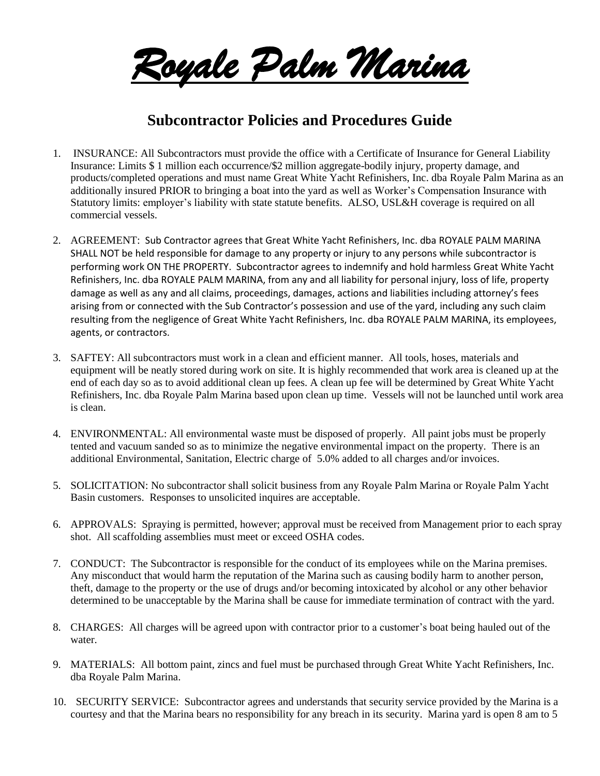*Royale Palm Marina* 

## **Subcontractor Policies and Procedures Guide**

- 1. INSURANCE: All Subcontractors must provide the office with a Certificate of Insurance for General Liability Insurance: Limits \$ 1 million each occurrence/\$2 million aggregate-bodily injury, property damage, and products/completed operations and must name Great White Yacht Refinishers, Inc. dba Royale Palm Marina as an additionally insured PRIOR to bringing a boat into the yard as well as Worker's Compensation Insurance with Statutory limits: employer's liability with state statute benefits. ALSO, USL&H coverage is required on all commercial vessels.
- 2. AGREEMENT: Sub Contractor agrees that Great White Yacht Refinishers, Inc. dba ROYALE PALM MARINA SHALL NOT be held responsible for damage to any property or injury to any persons while subcontractor is performing work ON THE PROPERTY. Subcontractor agrees to indemnify and hold harmless Great White Yacht Refinishers, Inc. dba ROYALE PALM MARINA, from any and all liability for personal injury, loss of life, property damage as well as any and all claims, proceedings, damages, actions and liabilities including attorney's fees arising from or connected with the Sub Contractor's possession and use of the yard, including any such claim resulting from the negligence of Great White Yacht Refinishers, Inc. dba ROYALE PALM MARINA, its employees, agents, or contractors.
- 3. SAFTEY: All subcontractors must work in a clean and efficient manner. All tools, hoses, materials and equipment will be neatly stored during work on site. It is highly recommended that work area is cleaned up at the end of each day so as to avoid additional clean up fees. A clean up fee will be determined by Great White Yacht Refinishers, Inc. dba Royale Palm Marina based upon clean up time. Vessels will not be launched until work area is clean.
- 4. ENVIRONMENTAL: All environmental waste must be disposed of properly. All paint jobs must be properly tented and vacuum sanded so as to minimize the negative environmental impact on the property. There is an additional Environmental, Sanitation, Electric charge of 5.0% added to all charges and/or invoices.
- 5. SOLICITATION: No subcontractor shall solicit business from any Royale Palm Marina or Royale Palm Yacht Basin customers. Responses to unsolicited inquires are acceptable.
- 6. APPROVALS: Spraying is permitted, however; approval must be received from Management prior to each spray shot. All scaffolding assemblies must meet or exceed OSHA codes.
- 7. CONDUCT: The Subcontractor is responsible for the conduct of its employees while on the Marina premises. Any misconduct that would harm the reputation of the Marina such as causing bodily harm to another person, theft, damage to the property or the use of drugs and/or becoming intoxicated by alcohol or any other behavior determined to be unacceptable by the Marina shall be cause for immediate termination of contract with the yard.
- 8. CHARGES: All charges will be agreed upon with contractor prior to a customer's boat being hauled out of the water.
- 9. MATERIALS: All bottom paint, zincs and fuel must be purchased through Great White Yacht Refinishers, Inc. dba Royale Palm Marina.
- 10. SECURITY SERVICE: Subcontractor agrees and understands that security service provided by the Marina is a courtesy and that the Marina bears no responsibility for any breach in its security. Marina yard is open 8 am to 5